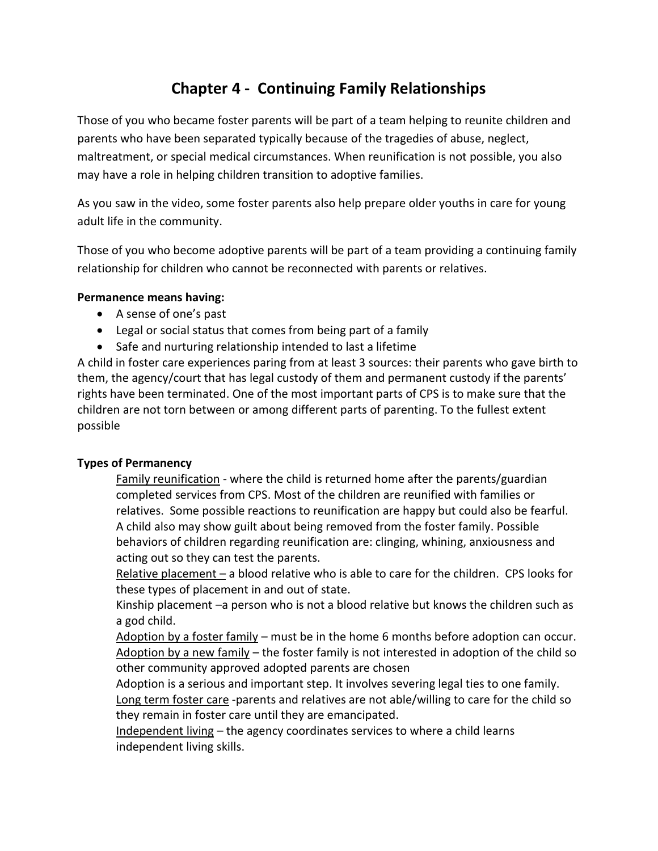# **Chapter 4 - Continuing Family Relationships**

Those of you who became foster parents will be part of a team helping to reunite children and parents who have been separated typically because of the tragedies of abuse, neglect, maltreatment, or special medical circumstances. When reunification is not possible, you also may have a role in helping children transition to adoptive families.

As you saw in the video, some foster parents also help prepare older youths in care for young adult life in the community.

Those of you who become adoptive parents will be part of a team providing a continuing family relationship for children who cannot be reconnected with parents or relatives.

### **Permanence means having:**

- A sense of one's past
- Legal or social status that comes from being part of a family
- Safe and nurturing relationship intended to last a lifetime

A child in foster care experiences paring from at least 3 sources: their parents who gave birth to them, the agency/court that has legal custody of them and permanent custody if the parents' rights have been terminated. One of the most important parts of CPS is to make sure that the children are not torn between or among different parts of parenting. To the fullest extent possible

# **Types of Permanency**

Family reunification - where the child is returned home after the parents/guardian completed services from CPS. Most of the children are reunified with families or relatives. Some possible reactions to reunification are happy but could also be fearful. A child also may show guilt about being removed from the foster family. Possible behaviors of children regarding reunification are: clinging, whining, anxiousness and acting out so they can test the parents.

Relative placement – a blood relative who is able to care for the children. CPS looks for these types of placement in and out of state.

Kinship placement –a person who is not a blood relative but knows the children such as a god child.

Adoption by a foster family – must be in the home 6 months before adoption can occur. Adoption by a new family – the foster family is not interested in adoption of the child so other community approved adopted parents are chosen

Adoption is a serious and important step. It involves severing legal ties to one family. Long term foster care -parents and relatives are not able/willing to care for the child so they remain in foster care until they are emancipated.

Independent living – the agency coordinates services to where a child learns independent living skills.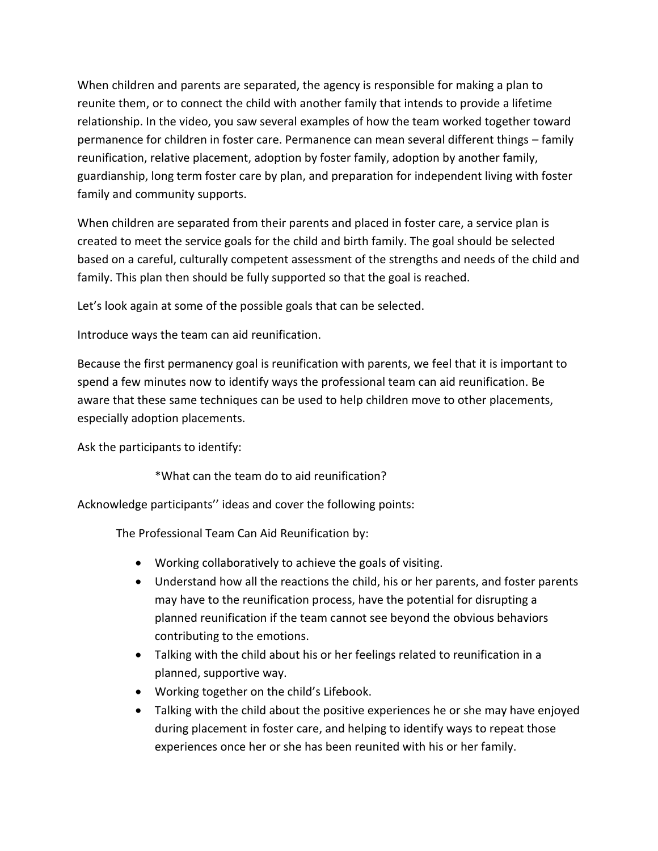When children and parents are separated, the agency is responsible for making a plan to reunite them, or to connect the child with another family that intends to provide a lifetime relationship. In the video, you saw several examples of how the team worked together toward permanence for children in foster care. Permanence can mean several different things – family reunification, relative placement, adoption by foster family, adoption by another family, guardianship, long term foster care by plan, and preparation for independent living with foster family and community supports.

When children are separated from their parents and placed in foster care, a service plan is created to meet the service goals for the child and birth family. The goal should be selected based on a careful, culturally competent assessment of the strengths and needs of the child and family. This plan then should be fully supported so that the goal is reached.

Let's look again at some of the possible goals that can be selected.

Introduce ways the team can aid reunification.

Because the first permanency goal is reunification with parents, we feel that it is important to spend a few minutes now to identify ways the professional team can aid reunification. Be aware that these same techniques can be used to help children move to other placements, especially adoption placements.

Ask the participants to identify:

\*What can the team do to aid reunification?

Acknowledge participants'' ideas and cover the following points:

The Professional Team Can Aid Reunification by:

- Working collaboratively to achieve the goals of visiting.
- Understand how all the reactions the child, his or her parents, and foster parents may have to the reunification process, have the potential for disrupting a planned reunification if the team cannot see beyond the obvious behaviors contributing to the emotions.
- Talking with the child about his or her feelings related to reunification in a planned, supportive way.
- Working together on the child's Lifebook.
- Talking with the child about the positive experiences he or she may have enjoyed during placement in foster care, and helping to identify ways to repeat those experiences once her or she has been reunited with his or her family.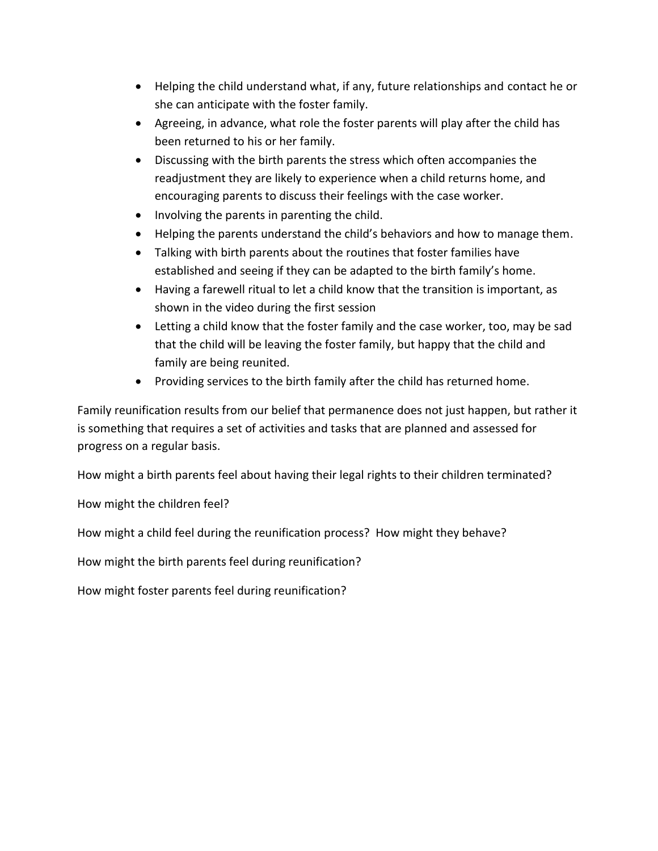- Helping the child understand what, if any, future relationships and contact he or she can anticipate with the foster family.
- Agreeing, in advance, what role the foster parents will play after the child has been returned to his or her family.
- Discussing with the birth parents the stress which often accompanies the readjustment they are likely to experience when a child returns home, and encouraging parents to discuss their feelings with the case worker.
- Involving the parents in parenting the child.
- Helping the parents understand the child's behaviors and how to manage them.
- Talking with birth parents about the routines that foster families have established and seeing if they can be adapted to the birth family's home.
- Having a farewell ritual to let a child know that the transition is important, as shown in the video during the first session
- Letting a child know that the foster family and the case worker, too, may be sad that the child will be leaving the foster family, but happy that the child and family are being reunited.
- Providing services to the birth family after the child has returned home.

Family reunification results from our belief that permanence does not just happen, but rather it is something that requires a set of activities and tasks that are planned and assessed for progress on a regular basis.

How might a birth parents feel about having their legal rights to their children terminated?

How might the children feel?

How might a child feel during the reunification process? How might they behave?

How might the birth parents feel during reunification?

How might foster parents feel during reunification?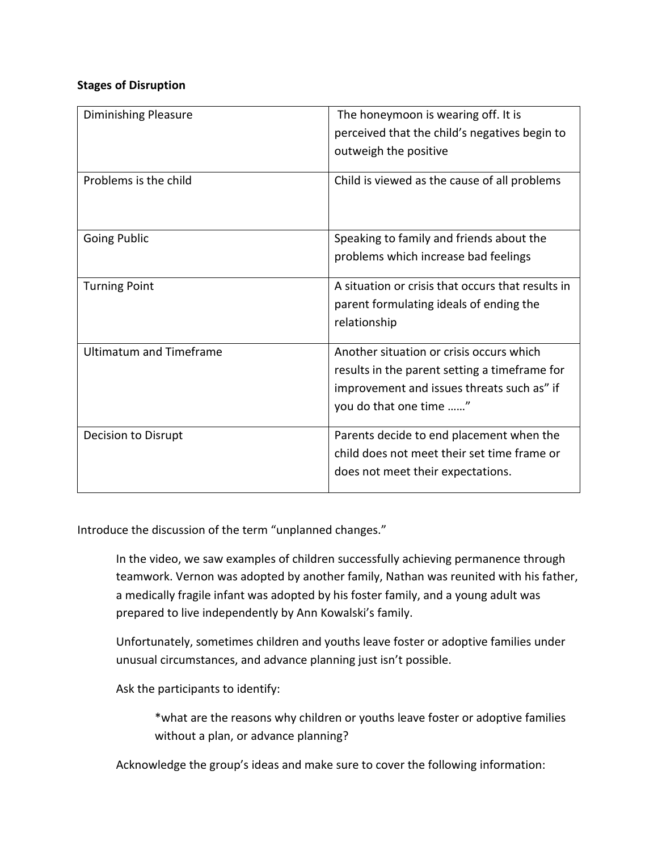### **Stages of Disruption**

| <b>Diminishing Pleasure</b>    | The honeymoon is wearing off. It is<br>perceived that the child's negatives begin to<br>outweigh the positive                                                     |  |
|--------------------------------|-------------------------------------------------------------------------------------------------------------------------------------------------------------------|--|
| Problems is the child          | Child is viewed as the cause of all problems                                                                                                                      |  |
| <b>Going Public</b>            | Speaking to family and friends about the<br>problems which increase bad feelings                                                                                  |  |
| <b>Turning Point</b>           | A situation or crisis that occurs that results in<br>parent formulating ideals of ending the<br>relationship                                                      |  |
| <b>Ultimatum and Timeframe</b> | Another situation or crisis occurs which<br>results in the parent setting a timeframe for<br>improvement and issues threats such as" if<br>you do that one time " |  |
| Decision to Disrupt            | Parents decide to end placement when the<br>child does not meet their set time frame or<br>does not meet their expectations.                                      |  |

Introduce the discussion of the term "unplanned changes."

In the video, we saw examples of children successfully achieving permanence through teamwork. Vernon was adopted by another family, Nathan was reunited with his father, a medically fragile infant was adopted by his foster family, and a young adult was prepared to live independently by Ann Kowalski's family.

Unfortunately, sometimes children and youths leave foster or adoptive families under unusual circumstances, and advance planning just isn't possible.

Ask the participants to identify:

\*what are the reasons why children or youths leave foster or adoptive families without a plan, or advance planning?

Acknowledge the group's ideas and make sure to cover the following information: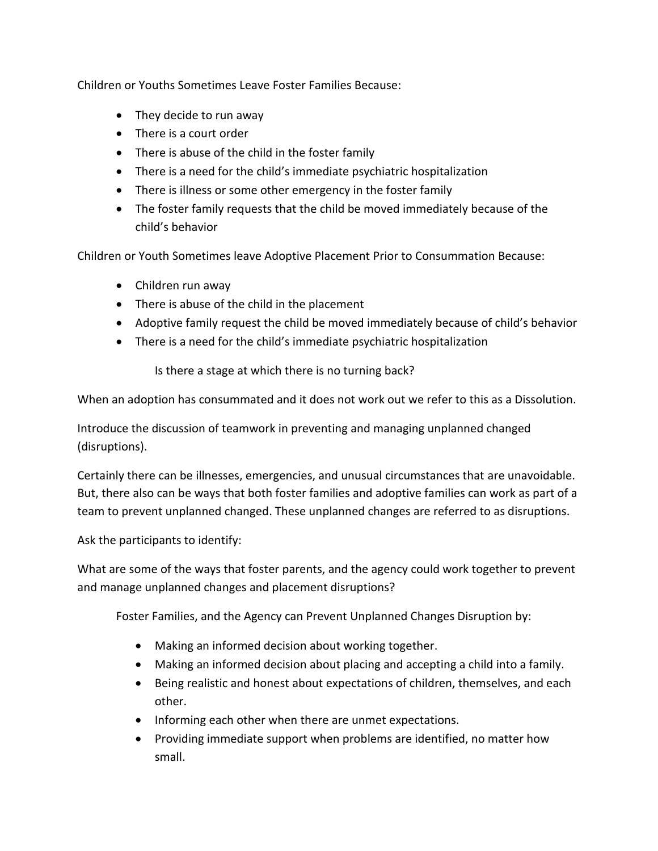Children or Youths Sometimes Leave Foster Families Because:

- They decide to run away
- There is a court order
- There is abuse of the child in the foster family
- There is a need for the child's immediate psychiatric hospitalization
- There is illness or some other emergency in the foster family
- The foster family requests that the child be moved immediately because of the child's behavior

Children or Youth Sometimes leave Adoptive Placement Prior to Consummation Because:

- Children run away
- There is abuse of the child in the placement
- Adoptive family request the child be moved immediately because of child's behavior
- There is a need for the child's immediate psychiatric hospitalization

Is there a stage at which there is no turning back?

When an adoption has consummated and it does not work out we refer to this as a Dissolution.

Introduce the discussion of teamwork in preventing and managing unplanned changed (disruptions).

Certainly there can be illnesses, emergencies, and unusual circumstances that are unavoidable. But, there also can be ways that both foster families and adoptive families can work as part of a team to prevent unplanned changed. These unplanned changes are referred to as disruptions.

Ask the participants to identify:

What are some of the ways that foster parents, and the agency could work together to prevent and manage unplanned changes and placement disruptions?

Foster Families, and the Agency can Prevent Unplanned Changes Disruption by:

- Making an informed decision about working together.
- Making an informed decision about placing and accepting a child into a family.
- Being realistic and honest about expectations of children, themselves, and each other.
- Informing each other when there are unmet expectations.
- Providing immediate support when problems are identified, no matter how small.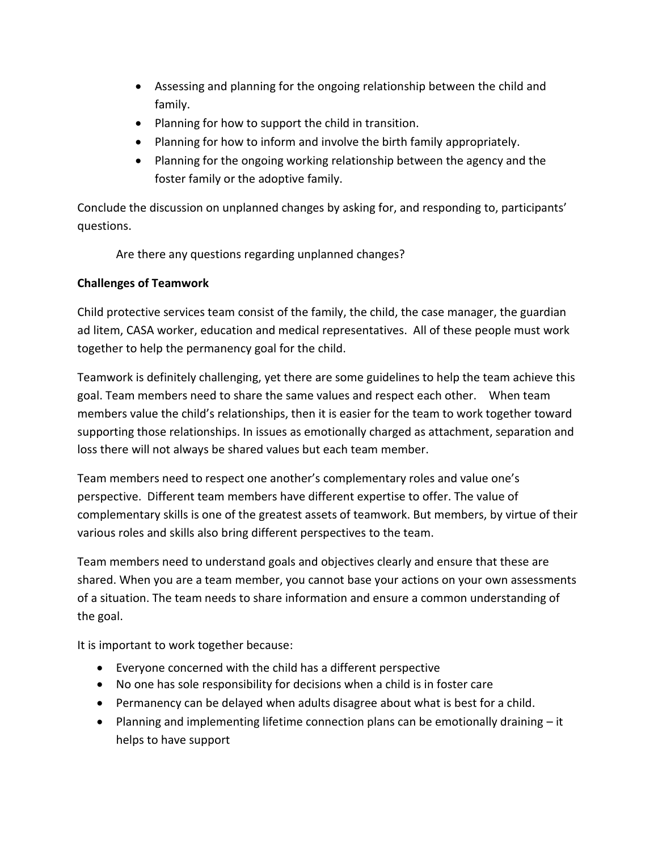- Assessing and planning for the ongoing relationship between the child and family.
- Planning for how to support the child in transition.
- Planning for how to inform and involve the birth family appropriately.
- Planning for the ongoing working relationship between the agency and the foster family or the adoptive family.

Conclude the discussion on unplanned changes by asking for, and responding to, participants' questions.

Are there any questions regarding unplanned changes?

# **Challenges of Teamwork**

Child protective services team consist of the family, the child, the case manager, the guardian ad litem, CASA worker, education and medical representatives. All of these people must work together to help the permanency goal for the child.

Teamwork is definitely challenging, yet there are some guidelines to help the team achieve this goal. Team members need to share the same values and respect each other. When team members value the child's relationships, then it is easier for the team to work together toward supporting those relationships. In issues as emotionally charged as attachment, separation and loss there will not always be shared values but each team member.

Team members need to respect one another's complementary roles and value one's perspective. Different team members have different expertise to offer. The value of complementary skills is one of the greatest assets of teamwork. But members, by virtue of their various roles and skills also bring different perspectives to the team.

Team members need to understand goals and objectives clearly and ensure that these are shared. When you are a team member, you cannot base your actions on your own assessments of a situation. The team needs to share information and ensure a common understanding of the goal.

It is important to work together because:

- Everyone concerned with the child has a different perspective
- No one has sole responsibility for decisions when a child is in foster care
- Permanency can be delayed when adults disagree about what is best for a child.
- Planning and implementing lifetime connection plans can be emotionally draining  $-$  it helps to have support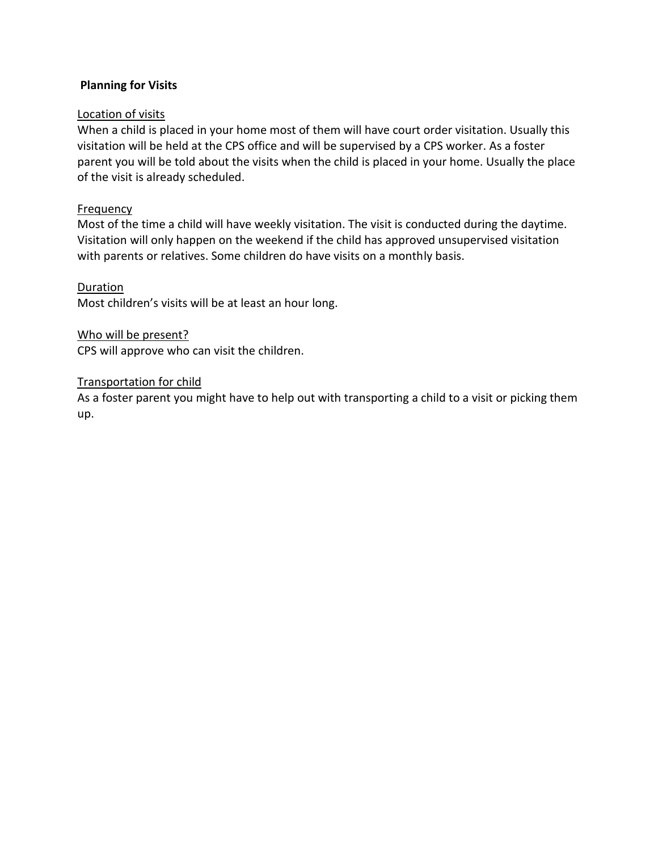### **Planning for Visits**

### Location of visits

When a child is placed in your home most of them will have court order visitation. Usually this visitation will be held at the CPS office and will be supervised by a CPS worker. As a foster parent you will be told about the visits when the child is placed in your home. Usually the place of the visit is already scheduled.

### Frequency

Most of the time a child will have weekly visitation. The visit is conducted during the daytime. Visitation will only happen on the weekend if the child has approved unsupervised visitation with parents or relatives. Some children do have visits on a monthly basis.

### **Duration**

Most children's visits will be at least an hour long.

#### Who will be present?

CPS will approve who can visit the children.

### Transportation for child

As a foster parent you might have to help out with transporting a child to a visit or picking them up.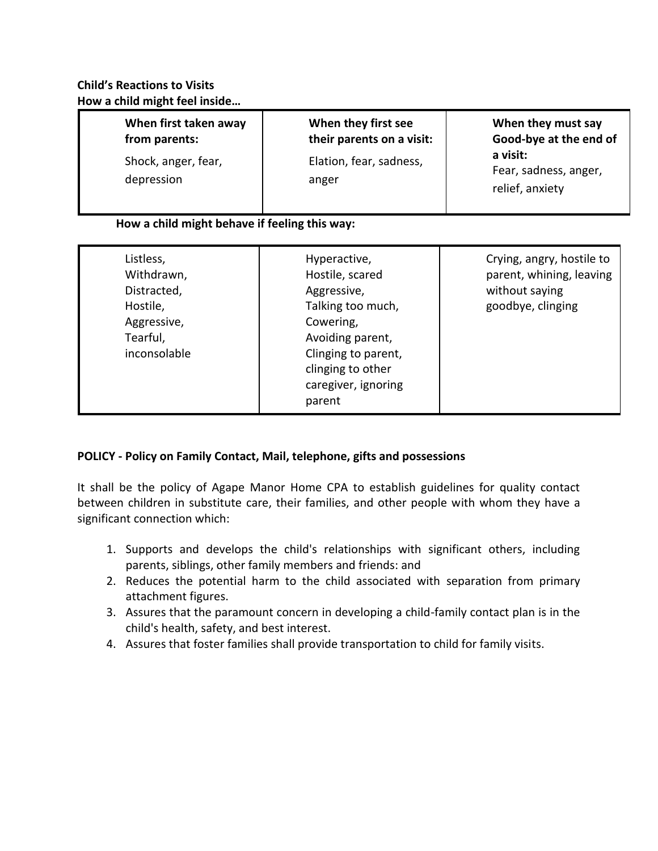# **When first taken away from parents:**

Shock, anger, fear, depression

### **When they first see their parents on a visit:**

Elation, fear, sadness, anger

# **When they must say Good-bye at the end of a visit:** Fear, sadness, anger, relief, anxiety

# **How a child might behave if feeling this way:**

| Listless,<br>Withdrawn,<br>Distracted,<br>Hostile,<br>Aggressive,<br>Tearful,<br>inconsolable | Hyperactive,<br>Hostile, scared<br>Aggressive,<br>Talking too much,<br>Cowering,<br>Avoiding parent,<br>Clinging to parent,<br>clinging to other<br>caregiver, ignoring<br>parent | Crying, angry, hostile to<br>parent, whining, leaving<br>without saying<br>goodbye, clinging |
|-----------------------------------------------------------------------------------------------|-----------------------------------------------------------------------------------------------------------------------------------------------------------------------------------|----------------------------------------------------------------------------------------------|
|-----------------------------------------------------------------------------------------------|-----------------------------------------------------------------------------------------------------------------------------------------------------------------------------------|----------------------------------------------------------------------------------------------|

# **POLICY - Policy on Family Contact, Mail, telephone, gifts and possessions**

It shall be the policy of Agape Manor Home CPA to establish guidelines for quality contact between children in substitute care, their families, and other people with whom they have a significant connection which:

- 1. Supports and develops the child's relationships with significant others, including parents, siblings, other family members and friends: and
- 2. Reduces the potential harm to the child associated with separation from primary attachment figures.
- 3. Assures that the paramount concern in developing a child-family contact plan is in the child's health, safety, and best interest.
- 4. Assures that foster families shall provide transportation to child for family visits.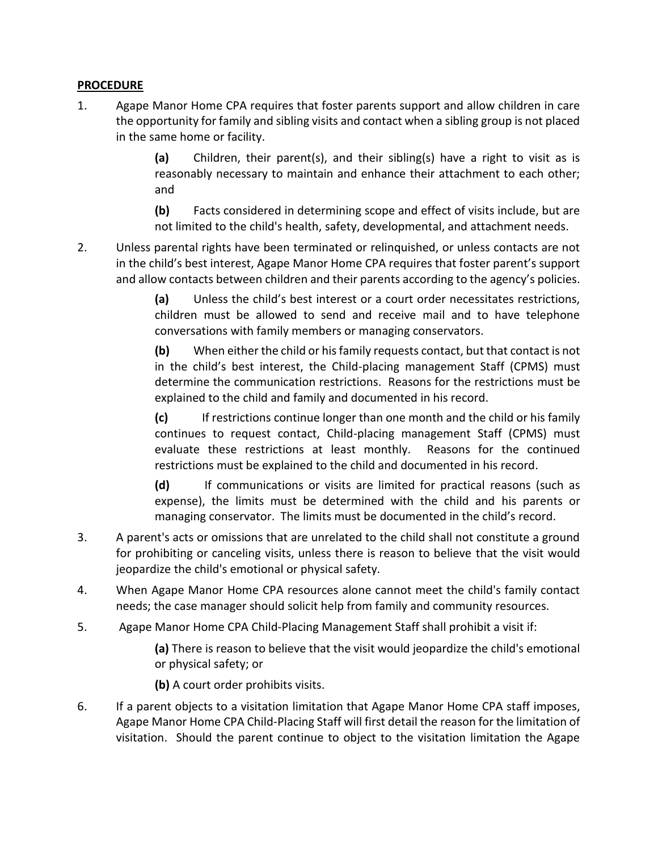# **PROCEDURE**

1. Agape Manor Home CPA requires that foster parents support and allow children in care the opportunity for family and sibling visits and contact when a sibling group is not placed in the same home or facility.

> **(a)** Children, their parent(s), and their sibling(s) have a right to visit as is reasonably necessary to maintain and enhance their attachment to each other; and

> **(b)** Facts considered in determining scope and effect of visits include, but are not limited to the child's health, safety, developmental, and attachment needs.

2. Unless parental rights have been terminated or relinquished, or unless contacts are not in the child's best interest, Agape Manor Home CPA requires that foster parent's support and allow contacts between children and their parents according to the agency's policies.

> **(a)** Unless the child's best interest or a court order necessitates restrictions, children must be allowed to send and receive mail and to have telephone conversations with family members or managing conservators.

> **(b)** When either the child or his family requests contact, but that contact is not in the child's best interest, the Child-placing management Staff (CPMS) must determine the communication restrictions. Reasons for the restrictions must be explained to the child and family and documented in his record.

> **(c)** If restrictions continue longer than one month and the child or his family continues to request contact, Child-placing management Staff (CPMS) must evaluate these restrictions at least monthly. Reasons for the continued restrictions must be explained to the child and documented in his record.

> **(d)** If communications or visits are limited for practical reasons (such as expense), the limits must be determined with the child and his parents or managing conservator. The limits must be documented in the child's record.

- 3. A parent's acts or omissions that are unrelated to the child shall not constitute a ground for prohibiting or canceling visits, unless there is reason to believe that the visit would jeopardize the child's emotional or physical safety.
- 4. When Agape Manor Home CPA resources alone cannot meet the child's family contact needs; the case manager should solicit help from family and community resources.
- 5. Agape Manor Home CPA Child-Placing Management Staff shall prohibit a visit if:

**(a)** There is reason to believe that the visit would jeopardize the child's emotional or physical safety; or

**(b)** A court order prohibits visits.

6. If a parent objects to a visitation limitation that Agape Manor Home CPA staff imposes, Agape Manor Home CPA Child-Placing Staff will first detail the reason for the limitation of visitation. Should the parent continue to object to the visitation limitation the Agape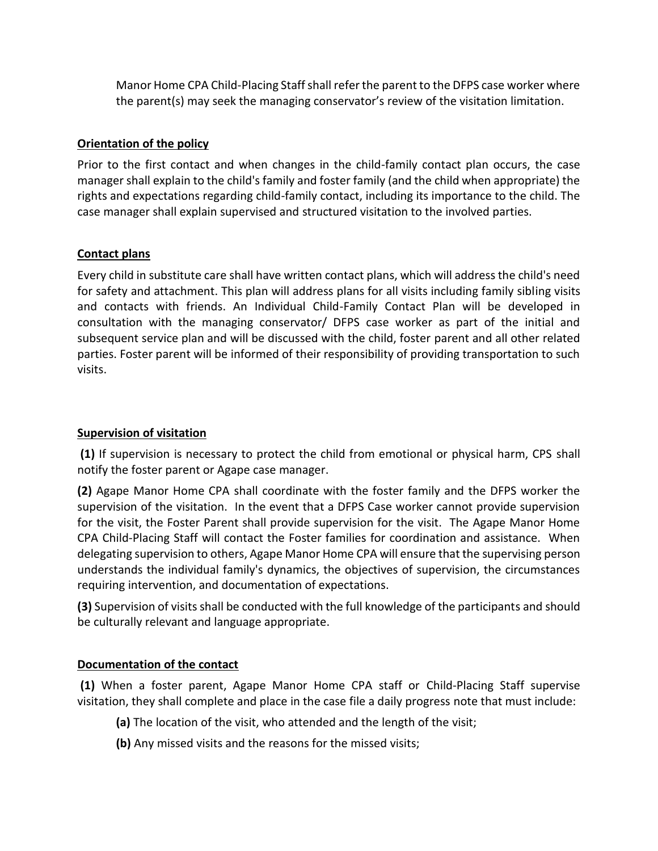Manor Home CPA Child-Placing Staff shall refer the parent to the DFPS case worker where the parent(s) may seek the managing conservator's review of the visitation limitation.

### **Orientation of the policy**

Prior to the first contact and when changes in the child-family contact plan occurs, the case manager shall explain to the child's family and foster family (and the child when appropriate) the rights and expectations regarding child-family contact, including its importance to the child. The case manager shall explain supervised and structured visitation to the involved parties.

### **Contact plans**

Every child in substitute care shall have written contact plans, which will address the child's need for safety and attachment. This plan will address plans for all visits including family sibling visits and contacts with friends. An Individual Child-Family Contact Plan will be developed in consultation with the managing conservator/ DFPS case worker as part of the initial and subsequent service plan and will be discussed with the child, foster parent and all other related parties. Foster parent will be informed of their responsibility of providing transportation to such visits.

### **Supervision of visitation**

**(1)** If supervision is necessary to protect the child from emotional or physical harm, CPS shall notify the foster parent or Agape case manager.

**(2)** Agape Manor Home CPA shall coordinate with the foster family and the DFPS worker the supervision of the visitation. In the event that a DFPS Case worker cannot provide supervision for the visit, the Foster Parent shall provide supervision for the visit. The Agape Manor Home CPA Child-Placing Staff will contact the Foster families for coordination and assistance. When delegating supervision to others, Agape Manor Home CPA will ensure that the supervising person understands the individual family's dynamics, the objectives of supervision, the circumstances requiring intervention, and documentation of expectations.

**(3)** Supervision of visits shall be conducted with the full knowledge of the participants and should be culturally relevant and language appropriate.

### **Documentation of the contact**

**(1)** When a foster parent, Agape Manor Home CPA staff or Child-Placing Staff supervise visitation, they shall complete and place in the case file a daily progress note that must include:

- **(a)** The location of the visit, who attended and the length of the visit;
- **(b)** Any missed visits and the reasons for the missed visits;